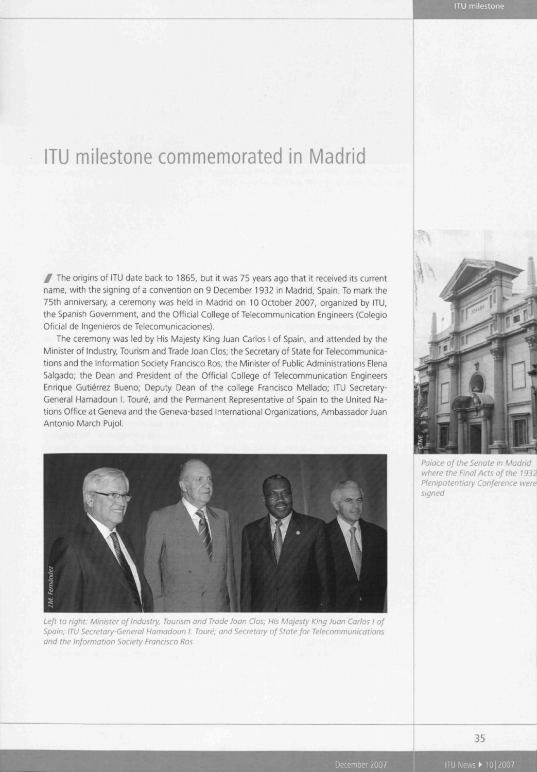## ITU milestone commemorated in Madrid

 $\mathbb Z$  The origins of ITU date back to 1865, but it was 75 years ago that it received its current name, with the signing of a convention on 9 December 1932 in Madrid, Spain. To mark the 75th anniversary, a ceremony was held in Madrid on 10 October 2007, organized by ITU, the Spanish Government, and the Official College of Telecommunication Engineers (Colegio Oficial de Ingenieros de Telecomunicaciones).

The ceremony was led by His Majesty King Juan Carlos I of Spain, and attended by the Minister of Industry, Tourism and Trade Joan Clos; the Secretary of State for Telecommunications and the Information Society Francisco Ros; the Minister of Public Administrations Elena Salgado; the Dean and President of the Official College of Telecommunication Engineers Enrique Gutiérrez Bueno; Deputy Dean of the college Francisco Mellado; ITU Secretary-General Hamadoun I. Touré, and the Permanent Representative of Spain to the United Nations Office at Geneva and the Geneva-based International Organizations, Ambassador Juan Antonio March Pujol.



Left to right: Minister of Industry, Tourism and Trade Joan Clos; His Majesty King Juan Carlos I of Spain; ITU Secretary-General Hamadoun I. Toure; and Secretary of State for Telecommunications and the Information Society Francisco Ros



Palace of the Senate in Madrid where the Final Acts of the 1932 Plenipotentiary Conference were signed